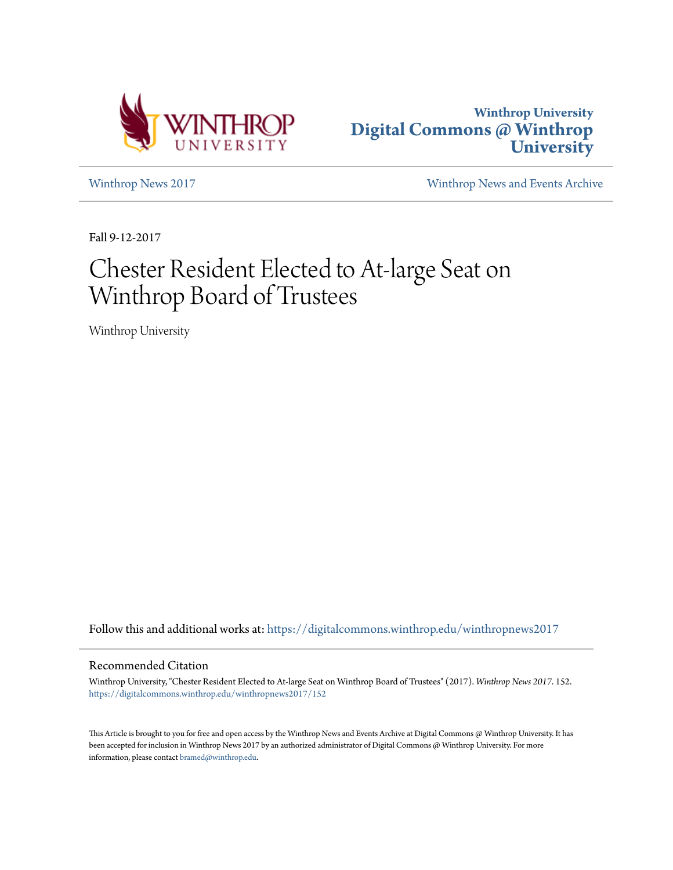



[Winthrop News 2017](https://digitalcommons.winthrop.edu/winthropnews2017?utm_source=digitalcommons.winthrop.edu%2Fwinthropnews2017%2F152&utm_medium=PDF&utm_campaign=PDFCoverPages) [Winthrop News and Events Archive](https://digitalcommons.winthrop.edu/winthropnewsarchives?utm_source=digitalcommons.winthrop.edu%2Fwinthropnews2017%2F152&utm_medium=PDF&utm_campaign=PDFCoverPages)

Fall 9-12-2017

## Chester Resident Elected to At-large Seat on Winthrop Board of Trustees

Winthrop University

Follow this and additional works at: [https://digitalcommons.winthrop.edu/winthropnews2017](https://digitalcommons.winthrop.edu/winthropnews2017?utm_source=digitalcommons.winthrop.edu%2Fwinthropnews2017%2F152&utm_medium=PDF&utm_campaign=PDFCoverPages)

## Recommended Citation

Winthrop University, "Chester Resident Elected to At-large Seat on Winthrop Board of Trustees" (2017). *Winthrop News 2017*. 152. [https://digitalcommons.winthrop.edu/winthropnews2017/152](https://digitalcommons.winthrop.edu/winthropnews2017/152?utm_source=digitalcommons.winthrop.edu%2Fwinthropnews2017%2F152&utm_medium=PDF&utm_campaign=PDFCoverPages)

This Article is brought to you for free and open access by the Winthrop News and Events Archive at Digital Commons @ Winthrop University. It has been accepted for inclusion in Winthrop News 2017 by an authorized administrator of Digital Commons @ Winthrop University. For more information, please contact [bramed@winthrop.edu](mailto:bramed@winthrop.edu).